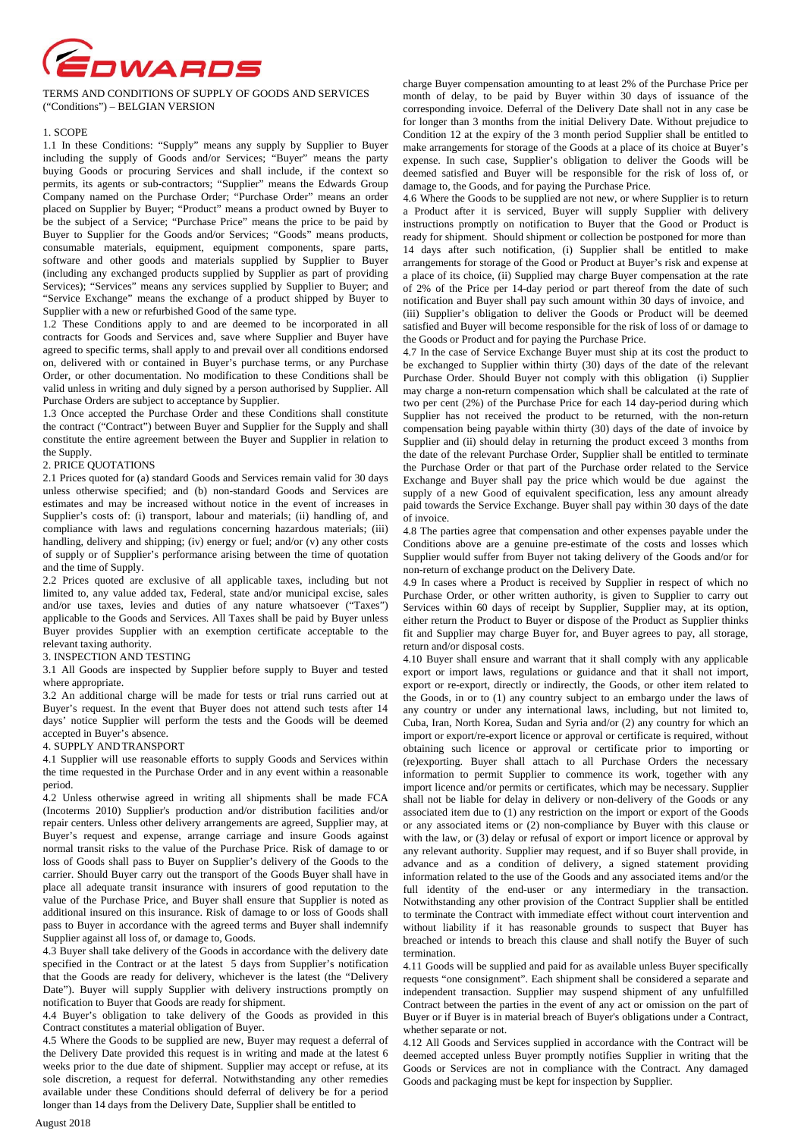

TERMS AND CONDITIONS OF SUPPLY OF GOODS AND SERVICES ("Conditions") – BELGIAN VERSION

## 1. SCOPE

1.1 In these Conditions: "Supply" means any supply by Supplier to Buyer including the supply of Goods and/or Services; "Buyer" means the party buying Goods or procuring Services and shall include, if the context so permits, its agents or sub-contractors; "Supplier" means the Edwards Group Company named on the Purchase Order; "Purchase Order" means an order placed on Supplier by Buyer; "Product" means a product owned by Buyer to be the subject of a Service; "Purchase Price" means the price to be paid by Buyer to Supplier for the Goods and/or Services; "Goods" means products, consumable materials, equipment, equipment components, spare parts, software and other goods and materials supplied by Supplier to Buyer (including any exchanged products supplied by Supplier as part of providing Services); "Services" means any services supplied by Supplier to Buyer; and "Service Exchange" means the exchange of a product shipped by Buyer to Supplier with a new or refurbished Good of the same type.

1.2 These Conditions apply to and are deemed to be incorporated in all contracts for Goods and Services and, save where Supplier and Buyer have agreed to specific terms, shall apply to and prevail over all conditions endorsed on, delivered with or contained in Buyer's purchase terms, or any Purchase Order, or other documentation. No modification to these Conditions shall be valid unless in writing and duly signed by a person authorised by Supplier. All Purchase Orders are subject to acceptance by Supplier.

1.3 Once accepted the Purchase Order and these Conditions shall constitute the contract ("Contract") between Buyer and Supplier for the Supply and shall constitute the entire agreement between the Buyer and Supplier in relation to the Supply.

## 2. PRICE QUOTATIONS

2.1 Prices quoted for (a) standard Goods and Services remain valid for 30 days unless otherwise specified; and (b) non-standard Goods and Services are estimates and may be increased without notice in the event of increases in Supplier's costs of: (i) transport, labour and materials; (ii) handling of, and compliance with laws and regulations concerning hazardous materials; (iii) handling, delivery and shipping; (iv) energy or fuel; and/or (v) any other costs of supply or of Supplier's performance arising between the time of quotation and the time of Supply.

2.2 Prices quoted are exclusive of all applicable taxes, including but not limited to, any value added tax, Federal, state and/or municipal excise, sales and/or use taxes, levies and duties of any nature whatsoever ("Taxes") applicable to the Goods and Services. All Taxes shall be paid by Buyer unless Buyer provides Supplier with an exemption certificate acceptable to the relevant taxing authority.

## 3. INSPECTION AND TESTING

3.1 All Goods are inspected by Supplier before supply to Buyer and tested where appropriate.

3.2 An additional charge will be made for tests or trial runs carried out at Buyer's request. In the event that Buyer does not attend such tests after 14 days' notice Supplier will perform the tests and the Goods will be deemed accepted in Buyer's absence.

# 4. SUPPLY AND TRANSPORT

4.1 Supplier will use reasonable efforts to supply Goods and Services within the time requested in the Purchase Order and in any event within a reasonable period.

4.2 Unless otherwise agreed in writing all shipments shall be made FCA (Incoterms 2010) Supplier's production and/or distribution facilities and/or repair centers. Unless other delivery arrangements are agreed, Supplier may, at Buyer's request and expense, arrange carriage and insure Goods against normal transit risks to the value of the Purchase Price. Risk of damage to or loss of Goods shall pass to Buyer on Supplier's delivery of the Goods to the carrier. Should Buyer carry out the transport of the Goods Buyer shall have in place all adequate transit insurance with insurers of good reputation to the value of the Purchase Price, and Buyer shall ensure that Supplier is noted as additional insured on this insurance. Risk of damage to or loss of Goods shall pass to Buyer in accordance with the agreed terms and Buyer shall indemnify Supplier against all loss of, or damage to, Goods.

4.3 Buyer shall take delivery of the Goods in accordance with the delivery date specified in the Contract or at the latest 5 days from Supplier's notification that the Goods are ready for delivery, whichever is the latest (the "Delivery Date"). Buyer will supply Supplier with delivery instructions promptly on notification to Buyer that Goods are ready for shipment.

4.4 Buyer's obligation to take delivery of the Goods as provided in this Contract constitutes a material obligation of Buyer.

4.5 Where the Goods to be supplied are new, Buyer may request a deferral of the Delivery Date provided this request is in writing and made at the latest 6 weeks prior to the due date of shipment. Supplier may accept or refuse, at its sole discretion, a request for deferral. Notwithstanding any other remedies available under these Conditions should deferral of delivery be for a period longer than 14 days from the Delivery Date, Supplier shall be entitled to

charge Buyer compensation amounting to at least 2% of the Purchase Price per month of delay, to be paid by Buyer within 30 days of issuance of the corresponding invoice. Deferral of the Delivery Date shall not in any case be for longer than 3 months from the initial Delivery Date. Without prejudice to Condition 12 at the expiry of the 3 month period Supplier shall be entitled to make arrangements for storage of the Goods at a place of its choice at Buyer's expense. In such case, Supplier's obligation to deliver the Goods will be deemed satisfied and Buyer will be responsible for the risk of loss of, or damage to, the Goods, and for paying the Purchase Price.

4.6 Where the Goods to be supplied are not new, or where Supplier is to return a Product after it is serviced, Buyer will supply Supplier with delivery instructions promptly on notification to Buyer that the Good or Product is ready for shipment. Should shipment or collection be postponed for more than 14 days after such notification, (i) Supplier shall be entitled to make arrangements for storage of the Good or Product at Buyer's risk and expense at a place of its choice, (ii) Supplied may charge Buyer compensation at the rate of 2% of the Price per 14-day period or part thereof from the date of such notification and Buyer shall pay such amount within 30 days of invoice, and (iii) Supplier's obligation to deliver the Goods or Product will be deemed satisfied and Buyer will become responsible for the risk of loss of or damage to the Goods or Product and for paying the Purchase Price.

4.7 In the case of Service Exchange Buyer must ship at its cost the product to be exchanged to Supplier within thirty (30) days of the date of the relevant Purchase Order. Should Buyer not comply with this obligation (i) Supplier may charge a non-return compensation which shall be calculated at the rate of two per cent (2%) of the Purchase Price for each 14 day-period during which Supplier has not received the product to be returned, with the non-return compensation being payable within thirty (30) days of the date of invoice by Supplier and (ii) should delay in returning the product exceed 3 months from the date of the relevant Purchase Order, Supplier shall be entitled to terminate the Purchase Order or that part of the Purchase order related to the Service Exchange and Buyer shall pay the price which would be due against the supply of a new Good of equivalent specification, less any amount already paid towards the Service Exchange. Buyer shall pay within 30 days of the date of invoice.

4.8 The parties agree that compensation and other expenses payable under the Conditions above are a genuine pre-estimate of the costs and losses which Supplier would suffer from Buyer not taking delivery of the Goods and/or for non-return of exchange product on the Delivery Date.

4.9 In cases where a Product is received by Supplier in respect of which no Purchase Order, or other written authority, is given to Supplier to carry out Services within 60 days of receipt by Supplier, Supplier may, at its option, either return the Product to Buyer or dispose of the Product as Supplier thinks fit and Supplier may charge Buyer for, and Buyer agrees to pay, all storage, return and/or disposal costs.

4.10 Buyer shall ensure and warrant that it shall comply with any applicable export or import laws, regulations or guidance and that it shall not import, export or re-export, directly or indirectly, the Goods, or other item related to the Goods, in or to (1) any country subject to an embargo under the laws of any country or under any international laws, including, but not limited to, Cuba, Iran, North Korea, Sudan and Syria and/or (2) any country for which an import or export/re-export licence or approval or certificate is required, without obtaining such licence or approval or certificate prior to importing or (re)exporting. Buyer shall attach to all Purchase Orders the necessary information to permit Supplier to commence its work, together with any import licence and/or permits or certificates, which may be necessary. Supplier shall not be liable for delay in delivery or non-delivery of the Goods or any associated item due to (1) any restriction on the import or export of the Goods or any associated items or (2) non-compliance by Buyer with this clause or with the law, or (3) delay or refusal of export or import licence or approval by any relevant authority. Supplier may request, and if so Buyer shall provide, in advance and as a condition of delivery, a signed statement providing information related to the use of the Goods and any associated items and/or the full identity of the end-user or any intermediary in the transaction. Notwithstanding any other provision of the Contract Supplier shall be entitled to terminate the Contract with immediate effect without court intervention and without liability if it has reasonable grounds to suspect that Buyer has breached or intends to breach this clause and shall notify the Buyer of such termination.

4.11 Goods will be supplied and paid for as available unless Buyer specifically requests "one consignment". Each shipment shall be considered a separate and independent transaction. Supplier may suspend shipment of any unfulfilled Contract between the parties in the event of any act or omission on the part of Buyer or if Buyer is in material breach of Buyer's obligations under a Contract, whether separate or not.

4.12 All Goods and Services supplied in accordance with the Contract will be deemed accepted unless Buyer promptly notifies Supplier in writing that the Goods or Services are not in compliance with the Contract. Any damaged Goods and packaging must be kept for inspection by Supplier.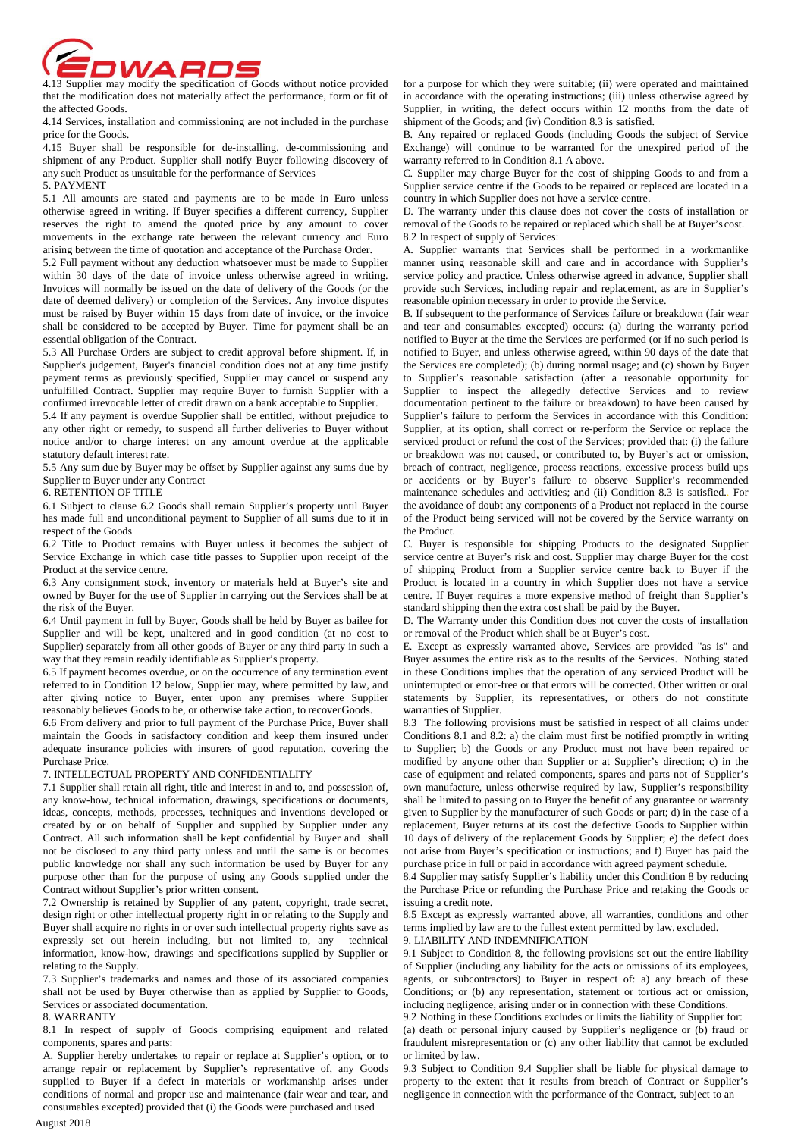4.13 Supplier may modify the specification of Goods without notice provided

that the modification does not materially affect the performance, form or fit of the affected Goods.

4.14 Services, installation and commissioning are not included in the purchase price for the Goods.

4.15 Buyer shall be responsible for de-installing, de-commissioning and shipment of any Product. Supplier shall notify Buyer following discovery of any such Product as unsuitable for the performance of Services 5. PAYMENT

5.1 All amounts are stated and payments are to be made in Euro unless otherwise agreed in writing. If Buyer specifies a different currency, Supplier reserves the right to amend the quoted price by any amount to cover movements in the exchange rate between the relevant currency and Euro arising between the time of quotation and acceptance of the Purchase Order.

5.2 Full payment without any deduction whatsoever must be made to Supplier within 30 days of the date of invoice unless otherwise agreed in writing. Invoices will normally be issued on the date of delivery of the Goods (or the date of deemed delivery) or completion of the Services. Any invoice disputes must be raised by Buyer within 15 days from date of invoice, or the invoice shall be considered to be accepted by Buyer. Time for payment shall be an essential obligation of the Contract.

5.3 All Purchase Orders are subject to credit approval before shipment. If, in Supplier's judgement, Buyer's financial condition does not at any time justify payment terms as previously specified, Supplier may cancel or suspend any unfulfilled Contract. Supplier may require Buyer to furnish Supplier with a confirmed irrevocable letter of credit drawn on a bank acceptable to Supplier.

5.4 If any payment is overdue Supplier shall be entitled, without prejudice to any other right or remedy, to suspend all further deliveries to Buyer without notice and/or to charge interest on any amount overdue at the applicable statutory default interest rate.

5.5 Any sum due by Buyer may be offset by Supplier against any sums due by Supplier to Buyer under any Contract

## 6. RETENTION OF TITLE

6.1 Subject to clause 6.2 Goods shall remain Supplier's property until Buyer has made full and unconditional payment to Supplier of all sums due to it in respect of the Goods

6.2 Title to Product remains with Buyer unless it becomes the subject of Service Exchange in which case title passes to Supplier upon receipt of the Product at the service centre.

6.3 Any consignment stock, inventory or materials held at Buyer's site and owned by Buyer for the use of Supplier in carrying out the Services shall be at the risk of the Buyer.

6.4 Until payment in full by Buyer, Goods shall be held by Buyer as bailee for Supplier and will be kept, unaltered and in good condition (at no cost to Supplier) separately from all other goods of Buyer or any third party in such a way that they remain readily identifiable as Supplier's property.

6.5 If payment becomes overdue, or on the occurrence of any termination event referred to in Condition 12 below, Supplier may, where permitted by law, and after giving notice to Buyer, enter upon any premises where Supplier reasonably believes Goods to be, or otherwise take action, to recover Goods.

6.6 From delivery and prior to full payment of the Purchase Price, Buyer shall maintain the Goods in satisfactory condition and keep them insured under adequate insurance policies with insurers of good reputation, covering the Purchase Price.

## 7. INTELLECTUAL PROPERTY AND CONFIDENTIALITY

7.1 Supplier shall retain all right, title and interest in and to, and possession of, any know-how, technical information, drawings, specifications or documents, ideas, concepts, methods, processes, techniques and inventions developed or created by or on behalf of Supplier and supplied by Supplier under any Contract. All such information shall be kept confidential by Buyer and shall not be disclosed to any third party unless and until the same is or becomes public knowledge nor shall any such information be used by Buyer for any purpose other than for the purpose of using any Goods supplied under the Contract without Supplier's prior written consent.

7.2 Ownership is retained by Supplier of any patent, copyright, trade secret, design right or other intellectual property right in or relating to the Supply and Buyer shall acquire no rights in or over such intellectual property rights save as expressly set out herein including, but not limited to, any technical information, know-how, drawings and specifications supplied by Supplier or relating to the Supply.

7.3 Supplier's trademarks and names and those of its associated companies shall not be used by Buyer otherwise than as applied by Supplier to Goods, Services or associated documentation.

### 8. WARRANTY

8.1 In respect of supply of Goods comprising equipment and related components, spares and parts:

A. Supplier hereby undertakes to repair or replace at Supplier's option, or to arrange repair or replacement by Supplier's representative of, any Goods supplied to Buyer if a defect in materials or workmanship arises under conditions of normal and proper use and maintenance (fair wear and tear, and consumables excepted) provided that (i) the Goods were purchased and used

for a purpose for which they were suitable; (ii) were operated and maintained in accordance with the operating instructions; (iii) unless otherwise agreed by Supplier, in writing, the defect occurs within 12 months from the date of shipment of the Goods; and (iv) Condition 8.3 is satisfied.

B. Any repaired or replaced Goods (including Goods the subject of Service Exchange) will continue to be warranted for the unexpired period of the warranty referred to in Condition 8.1 A above.

C. Supplier may charge Buyer for the cost of shipping Goods to and from a Supplier service centre if the Goods to be repaired or replaced are located in a country in which Supplier does not have a service centre.

D. The warranty under this clause does not cover the costs of installation or removal of the Goods to be repaired or replaced which shall be at Buyer's cost. 8.2 In respect of supply of Services:

A. Supplier warrants that Services shall be performed in a workmanlike manner using reasonable skill and care and in accordance with Supplier's service policy and practice. Unless otherwise agreed in advance, Supplier shall provide such Services, including repair and replacement, as are in Supplier's reasonable opinion necessary in order to provide the Service.

B. If subsequent to the performance of Services failure or breakdown (fair wear and tear and consumables excepted) occurs: (a) during the warranty period notified to Buyer at the time the Services are performed (or if no such period is notified to Buyer, and unless otherwise agreed, within 90 days of the date that the Services are completed); (b) during normal usage; and (c) shown by Buyer to Supplier's reasonable satisfaction (after a reasonable opportunity for Supplier to inspect the allegedly defective Services and to review documentation pertinent to the failure or breakdown) to have been caused by Supplier's failure to perform the Services in accordance with this Condition: Supplier, at its option, shall correct or re-perform the Service or replace the serviced product or refund the cost of the Services; provided that: (i) the failure or breakdown was not caused, or contributed to, by Buyer's act or omission, breach of contract, negligence, process reactions, excessive process build ups or accidents or by Buyer's failure to observe Supplier's recommended maintenance schedules and activities; and (ii) Condition 8.3 is satisfied.. For the avoidance of doubt any components of a Product not replaced in the course of the Product being serviced will not be covered by the Service warranty on the Product.

C. Buyer is responsible for shipping Products to the designated Supplier service centre at Buyer's risk and cost. Supplier may charge Buyer for the cost of shipping Product from a Supplier service centre back to Buyer if the Product is located in a country in which Supplier does not have a service centre. If Buyer requires a more expensive method of freight than Supplier's standard shipping then the extra cost shall be paid by the Buyer.

D. The Warranty under this Condition does not cover the costs of installation or removal of the Product which shall be at Buyer's cost.

E. Except as expressly warranted above, Services are provided "as is" and Buyer assumes the entire risk as to the results of the Services. Nothing stated in these Conditions implies that the operation of any serviced Product will be uninterrupted or error-free or that errors will be corrected. Other written or oral statements by Supplier, its representatives, or others do not constitute warranties of Supplier.

8.3 The following provisions must be satisfied in respect of all claims under Conditions 8.1 and  $\overline{8.2}$ : a) the claim must first be notified promptly in writing to Supplier; b) the Goods or any Product must not have been repaired or modified by anyone other than Supplier or at Supplier's direction; c) in the case of equipment and related components, spares and parts not of Supplier's own manufacture, unless otherwise required by law, Supplier's responsibility shall be limited to passing on to Buyer the benefit of any guarantee or warranty given to Supplier by the manufacturer of such Goods or part; d) in the case of a replacement, Buyer returns at its cost the defective Goods to Supplier within 10 days of delivery of the replacement Goods by Supplier; e) the defect does not arise from Buyer's specification or instructions; and f) Buyer has paid the purchase price in full or paid in accordance with agreed payment schedule.

8.4 Supplier may satisfy Supplier's liability under this Condition 8 by reducing the Purchase Price or refunding the Purchase Price and retaking the Goods or issuing a credit note.

8.5 Except as expressly warranted above, all warranties, conditions and other terms implied by law are to the fullest extent permitted by law, excluded.

9. LIABILITY AND INDEMNIFICATION

9.1 Subject to Condition 8, the following provisions set out the entire liability of Supplier (including any liability for the acts or omissions of its employees, agents, or subcontractors) to Buyer in respect of: a) any breach of these Conditions; or (b) any representation, statement or tortious act or omission, including negligence, arising under or in connection with these Conditions.

9.2 Nothing in these Conditions excludes or limits the liability of Supplier for: (a) death or personal injury caused by Supplier's negligence or (b) fraud or fraudulent misrepresentation or (c) any other liability that cannot be excluded or limited by law.

9.3 Subject to Condition 9.4 Supplier shall be liable for physical damage to property to the extent that it results from breach of Contract or Supplier's negligence in connection with the performance of the Contract, subject to an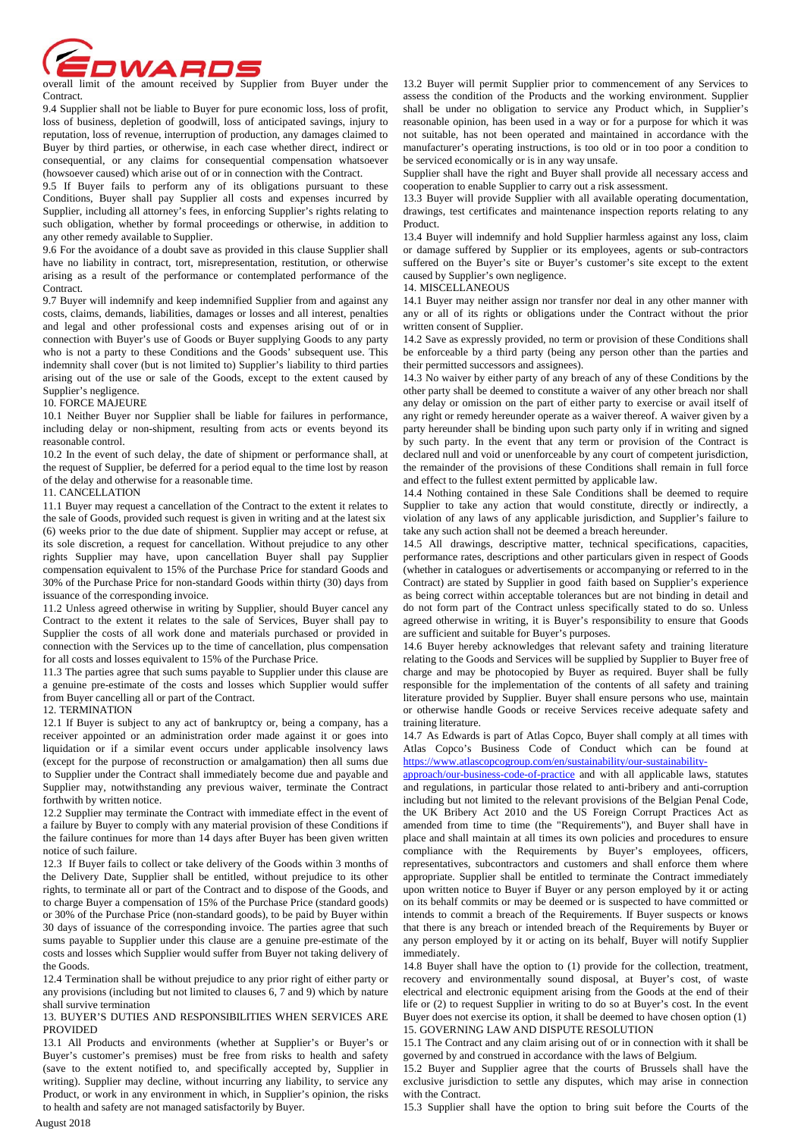

Contract.

9.4 Supplier shall not be liable to Buyer for pure economic loss, loss of profit, loss of business, depletion of goodwill, loss of anticipated savings, injury to reputation, loss of revenue, interruption of production, any damages claimed to Buyer by third parties, or otherwise, in each case whether direct, indirect or consequential, or any claims for consequential compensation whatsoever (howsoever caused) which arise out of or in connection with the Contract.

9.5 If Buyer fails to perform any of its obligations pursuant to these Conditions, Buyer shall pay Supplier all costs and expenses incurred by Supplier, including all attorney's fees, in enforcing Supplier's rights relating to such obligation, whether by formal proceedings or otherwise, in addition to any other remedy available to Supplier.

9.6 For the avoidance of a doubt save as provided in this clause Supplier shall have no liability in contract, tort, misrepresentation, restitution, or otherwise arising as a result of the performance or contemplated performance of the Contract.

9.7 Buyer will indemnify and keep indemnified Supplier from and against any costs, claims, demands, liabilities, damages or losses and all interest, penalties and legal and other professional costs and expenses arising out of or in connection with Buyer's use of Goods or Buyer supplying Goods to any party who is not a party to these Conditions and the Goods' subsequent use. This indemnity shall cover (but is not limited to) Supplier's liability to third parties arising out of the use or sale of the Goods, except to the extent caused by Supplier's negligence.

### 10. FORCE MAJEURE

10.1 Neither Buyer nor Supplier shall be liable for failures in performance, including delay or non-shipment, resulting from acts or events beyond its reasonable control.

10.2 In the event of such delay, the date of shipment or performance shall, at the request of Supplier, be deferred for a period equal to the time lost by reason of the delay and otherwise for a reasonable time.

## 11. CANCELLATION

11.1 Buyer may request a cancellation of the Contract to the extent it relates to the sale of Goods, provided such request is given in writing and at the latest six (6) weeks prior to the due date of shipment. Supplier may accept or refuse, at its sole discretion, a request for cancellation. Without prejudice to any other rights Supplier may have, upon cancellation Buyer shall pay Supplier compensation equivalent to 15% of the Purchase Price for standard Goods and 30% of the Purchase Price for non-standard Goods within thirty (30) days from issuance of the corresponding invoice.

11.2 Unless agreed otherwise in writing by Supplier, should Buyer cancel any Contract to the extent it relates to the sale of Services, Buyer shall pay to Supplier the costs of all work done and materials purchased or provided in connection with the Services up to the time of cancellation, plus compensation for all costs and losses equivalent to 15% of the Purchase Price.

11.3 The parties agree that such sums payable to Supplier under this clause are a genuine pre-estimate of the costs and losses which Supplier would suffer from Buyer cancelling all or part of the Contract.

#### 12. TERMINATION

12.1 If Buyer is subject to any act of bankruptcy or, being a company, has a receiver appointed or an administration order made against it or goes into liquidation or if a similar event occurs under applicable insolvency laws (except for the purpose of reconstruction or amalgamation) then all sums due to Supplier under the Contract shall immediately become due and payable and Supplier may, notwithstanding any previous waiver, terminate the Contract forthwith by written notice.

12.2 Supplier may terminate the Contract with immediate effect in the event of a failure by Buyer to comply with any material provision of these Conditions if the failure continues for more than 14 days after Buyer has been given written notice of such failure.

12.3 If Buyer fails to collect or take delivery of the Goods within 3 months of the Delivery Date, Supplier shall be entitled, without prejudice to its other rights, to terminate all or part of the Contract and to dispose of the Goods, and to charge Buyer a compensation of 15% of the Purchase Price (standard goods) or 30% of the Purchase Price (non-standard goods), to be paid by Buyer within 30 days of issuance of the corresponding invoice. The parties agree that such sums payable to Supplier under this clause are a genuine pre-estimate of the costs and losses which Supplier would suffer from Buyer not taking delivery of the Goods.

12.4 Termination shall be without prejudice to any prior right of either party or any provisions (including but not limited to clauses 6, 7 and 9) which by nature shall survive termination

13. BUYER'S DUTIES AND RESPONSIBILITIES WHEN SERVICES ARE **PROVIDED** 

13.1 All Products and environments (whether at Supplier's or Buyer's or Buyer's customer's premises) must be free from risks to health and safety (save to the extent notified to, and specifically accepted by, Supplier in writing). Supplier may decline, without incurring any liability, to service any Product, or work in any environment in which, in Supplier's opinion, the risks to health and safety are not managed satisfactorily by Buyer.

13.2 Buyer will permit Supplier prior to commencement of any Services to assess the condition of the Products and the working environment. Supplier shall be under no obligation to service any Product which, in Supplier's reasonable opinion, has been used in a way or for a purpose for which it was not suitable, has not been operated and maintained in accordance with the manufacturer's operating instructions, is too old or in too poor a condition to be serviced economically or is in any way unsafe.

Supplier shall have the right and Buyer shall provide all necessary access and cooperation to enable Supplier to carry out a risk assessment.

13.3 Buyer will provide Supplier with all available operating documentation, drawings, test certificates and maintenance inspection reports relating to any Product.

13.4 Buyer will indemnify and hold Supplier harmless against any loss, claim or damage suffered by Supplier or its employees, agents or sub-contractors suffered on the Buyer's site or Buyer's customer's site except to the extent caused by Supplier's own negligence.

## 14. MISCELLANEOUS

14.1 Buyer may neither assign nor transfer nor deal in any other manner with any or all of its rights or obligations under the Contract without the prior written consent of Supplier.

14.2 Save as expressly provided, no term or provision of these Conditions shall be enforceable by a third party (being any person other than the parties and their permitted successors and assignees).

14.3 No waiver by either party of any breach of any of these Conditions by the other party shall be deemed to constitute a waiver of any other breach nor shall any delay or omission on the part of either party to exercise or avail itself of any right or remedy hereunder operate as a waiver thereof. A waiver given by a party hereunder shall be binding upon such party only if in writing and signed by such party. In the event that any term or provision of the Contract is declared null and void or unenforceable by any court of competent jurisdiction, the remainder of the provisions of these Conditions shall remain in full force and effect to the fullest extent permitted by applicable law.

14.4 Nothing contained in these Sale Conditions shall be deemed to require Supplier to take any action that would constitute, directly or indirectly, a violation of any laws of any applicable jurisdiction, and Supplier's failure to take any such action shall not be deemed a breach hereunder.

14.5 All drawings, descriptive matter, technical specifications, capacities, performance rates, descriptions and other particulars given in respect of Goods (whether in catalogues or advertisements or accompanying or referred to in the Contract) are stated by Supplier in good faith based on Supplier's experience as being correct within acceptable tolerances but are not binding in detail and do not form part of the Contract unless specifically stated to do so. Unless agreed otherwise in writing, it is Buyer's responsibility to ensure that Goods are sufficient and suitable for Buyer's purposes.

14.6 Buyer hereby acknowledges that relevant safety and training literature relating to the Goods and Services will be supplied by Supplier to Buyer free of charge and may be photocopied by Buyer as required. Buyer shall be fully responsible for the implementation of the contents of all safety and training literature provided by Supplier. Buyer shall ensure persons who use, maintain or otherwise handle Goods or receive Services receive adequate safety and training literature.

14.7 As Edwards is part of Atlas Copco, Buyer shall comply at all times with Atlas Copco's Business Code of Conduct which can be found at https://www.atlascopcogroup.com/en/sustainability/our-sustainability-

approach/our-business-code-of-practice and with all applicable laws, statutes and regulations, in particular those related to anti-bribery and anti-corruption including but not limited to the relevant provisions of the Belgian Penal Code, the UK Bribery Act 2010 and the US Foreign Corrupt Practices Act as amended from time to time (the "Requirements"), and Buyer shall have in place and shall maintain at all times its own policies and procedures to ensure compliance with the Requirements by Buyer's employees, officers, representatives, subcontractors and customers and shall enforce them where appropriate. Supplier shall be entitled to terminate the Contract immediately upon written notice to Buyer if Buyer or any person employed by it or acting on its behalf commits or may be deemed or is suspected to have committed or intends to commit a breach of the Requirements. If Buyer suspects or knows that there is any breach or intended breach of the Requirements by Buyer or any person employed by it or acting on its behalf, Buyer will notify Supplier immediately.

14.8 Buyer shall have the option to (1) provide for the collection, treatment, recovery and environmentally sound disposal, at Buyer's cost, of waste electrical and electronic equipment arising from the Goods at the end of their life or (2) to request Supplier in writing to do so at Buyer's cost. In the event Buyer does not exercise its option, it shall be deemed to have chosen option (1) 15. GOVERNING LAW AND DISPUTE RESOLUTION

15.1 The Contract and any claim arising out of or in connection with it shall be governed by and construed in accordance with the laws of Belgium.

15.2 Buyer and Supplier agree that the courts of Brussels shall have the exclusive jurisdiction to settle any disputes, which may arise in connection with the Contract.

15.3 Supplier shall have the option to bring suit before the Courts of the